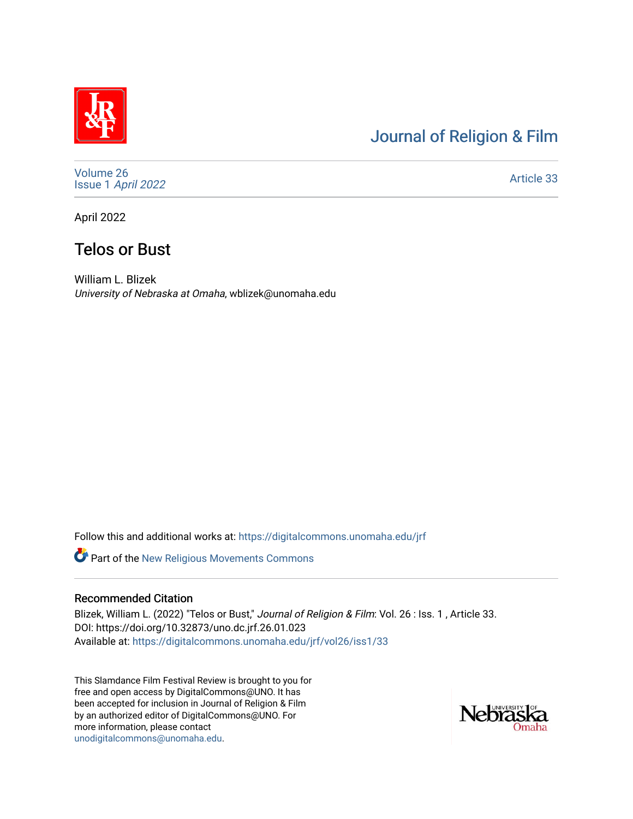## [Journal of Religion & Film](https://digitalcommons.unomaha.edu/jrf)

[Volume 26](https://digitalcommons.unomaha.edu/jrf/vol26) Issue 1 [April 2022](https://digitalcommons.unomaha.edu/jrf/vol26/iss1) 

[Article 33](https://digitalcommons.unomaha.edu/jrf/vol26/iss1/33) 

April 2022

# Telos or Bust

William L. Blizek University of Nebraska at Omaha, wblizek@unomaha.edu

Follow this and additional works at: [https://digitalcommons.unomaha.edu/jrf](https://digitalcommons.unomaha.edu/jrf?utm_source=digitalcommons.unomaha.edu%2Fjrf%2Fvol26%2Fiss1%2F33&utm_medium=PDF&utm_campaign=PDFCoverPages)

**Part of the New Religious Movements Commons** 

#### Recommended Citation

Blizek, William L. (2022) "Telos or Bust," Journal of Religion & Film: Vol. 26 : Iss. 1, Article 33. DOI: https://doi.org/10.32873/uno.dc.jrf.26.01.023 Available at: [https://digitalcommons.unomaha.edu/jrf/vol26/iss1/33](https://digitalcommons.unomaha.edu/jrf/vol26/iss1/33?utm_source=digitalcommons.unomaha.edu%2Fjrf%2Fvol26%2Fiss1%2F33&utm_medium=PDF&utm_campaign=PDFCoverPages) 

This Slamdance Film Festival Review is brought to you for free and open access by DigitalCommons@UNO. It has been accepted for inclusion in Journal of Religion & Film by an authorized editor of DigitalCommons@UNO. For more information, please contact [unodigitalcommons@unomaha.edu.](mailto:unodigitalcommons@unomaha.edu)

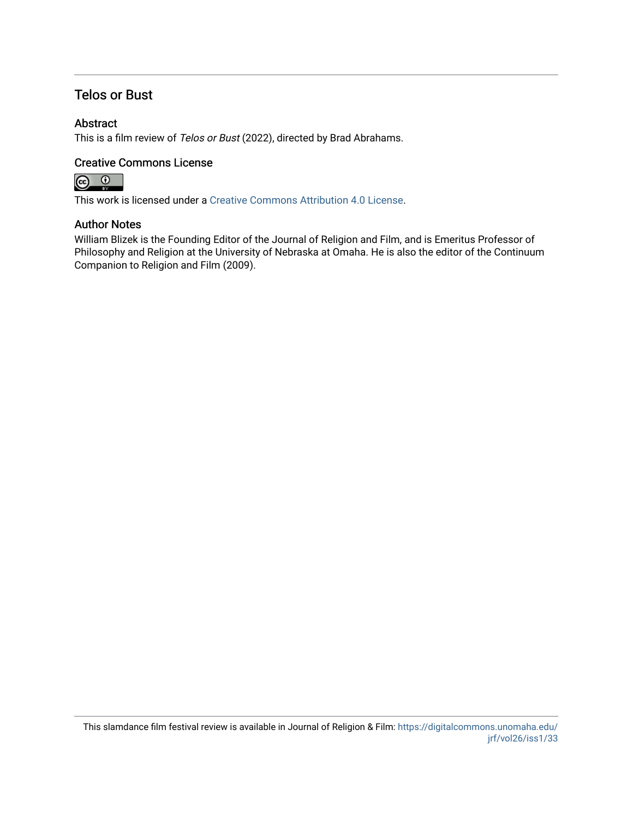### Telos or Bust

### Abstract

This is a film review of Telos or Bust (2022), directed by Brad Abrahams.

### Creative Commons License



This work is licensed under a [Creative Commons Attribution 4.0 License](https://creativecommons.org/licenses/by/4.0/).

#### Author Notes

William Blizek is the Founding Editor of the Journal of Religion and Film, and is Emeritus Professor of Philosophy and Religion at the University of Nebraska at Omaha. He is also the editor of the Continuum Companion to Religion and Film (2009).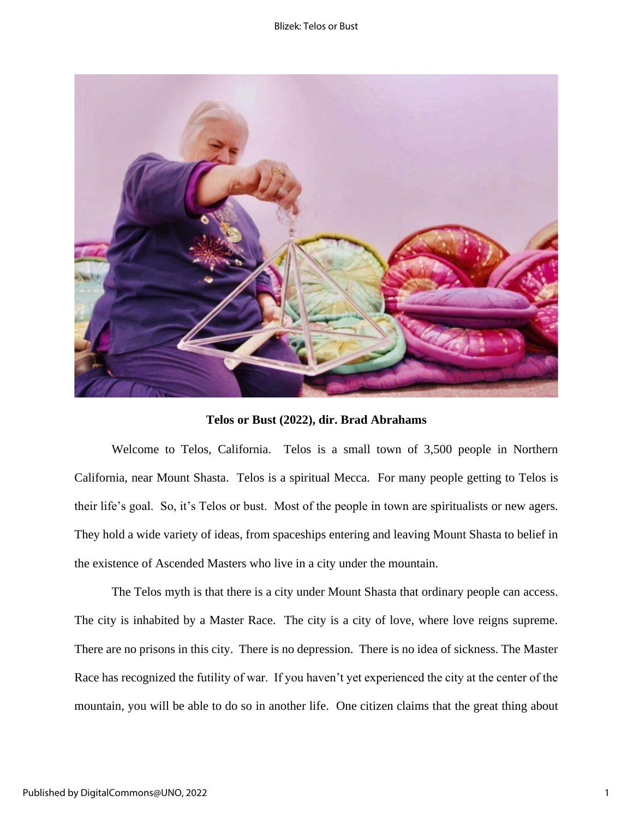#### Blizek: Telos or Bust



**Telos or Bust (2022), dir. Brad Abrahams**

Welcome to Telos, California. Telos is a small town of 3,500 people in Northern California, near Mount Shasta. Telos is a spiritual Mecca. For many people getting to Telos is their life's goal. So, it's Telos or bust. Most of the people in town are spiritualists or new agers. They hold a wide variety of ideas, from spaceships entering and leaving Mount Shasta to belief in the existence of Ascended Masters who live in a city under the mountain.

The Telos myth is that there is a city under Mount Shasta that ordinary people can access. The city is inhabited by a Master Race. The city is a city of love, where love reigns supreme. There are no prisons in this city. There is no depression. There is no idea of sickness. The Master Race has recognized the futility of war. If you haven't yet experienced the city at the center of the mountain, you will be able to do so in another life. One citizen claims that the great thing about